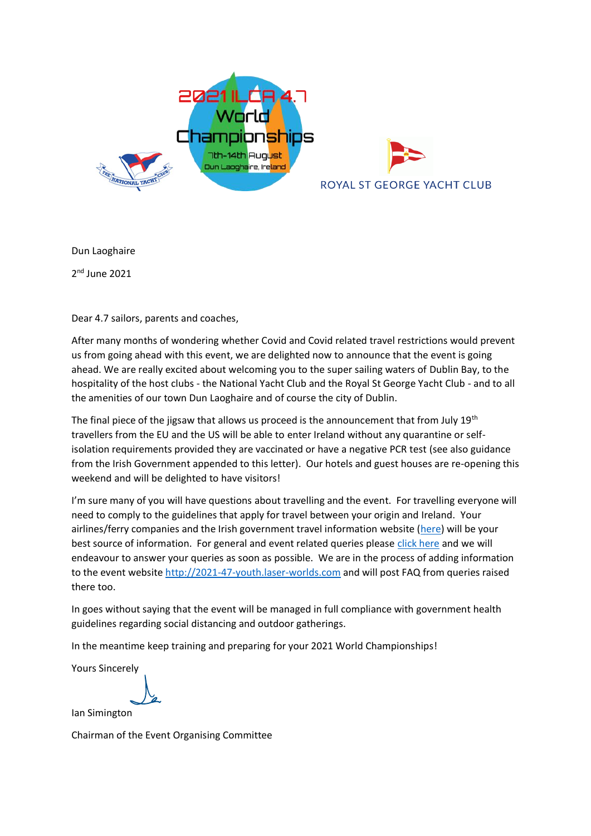



Dun Laoghaire

2 nd June 2021

Dear 4.7 sailors, parents and coaches,

After many months of wondering whether Covid and Covid related travel restrictions would prevent us from going ahead with this event, we are delighted now to announce that the event is going ahead. We are really excited about welcoming you to the super sailing waters of Dublin Bay, to the hospitality of the host clubs - the National Yacht Club and the Royal St George Yacht Club - and to all the amenities of our town Dun Laoghaire and of course the city of Dublin.

The final piece of the jigsaw that allows us proceed is the announcement that from July  $19<sup>th</sup>$ travellers from the EU and the US will be able to enter Ireland without any quarantine or selfisolation requirements provided they are vaccinated or have a negative PCR test (see also guidance from the Irish Government appended to this letter). Our hotels and guest houses are re-opening this weekend and will be delighted to have visitors!

I'm sure many of you will have questions about travelling and the event. For travelling everyone will need to comply to the guidelines that apply for travel between your origin and Ireland. Your airlines/ferry companies and the Irish government travel information website [\(here\)](https://www.gov.ie/en/publication/b4020-travelling-to-ireland-during-the-covid-19-pandemic/) will be your best source of information. For general and event related queries please [click here](http://2021-47-youth.laser-worlds.com/contact/) and we will endeavour to answer your queries as soon as possible. We are in the process of adding information to the event website [http://2021-47-youth.laser-worlds.com](http://2021-47-youth.laser-worlds.com/) and will post FAQ from queries raised there too.

In goes without saying that the event will be managed in full compliance with government health guidelines regarding social distancing and outdoor gatherings.

In the meantime keep training and preparing for your 2021 World Championships!

Yours Sincerely

Ian Simington

Chairman of the Event Organising Committee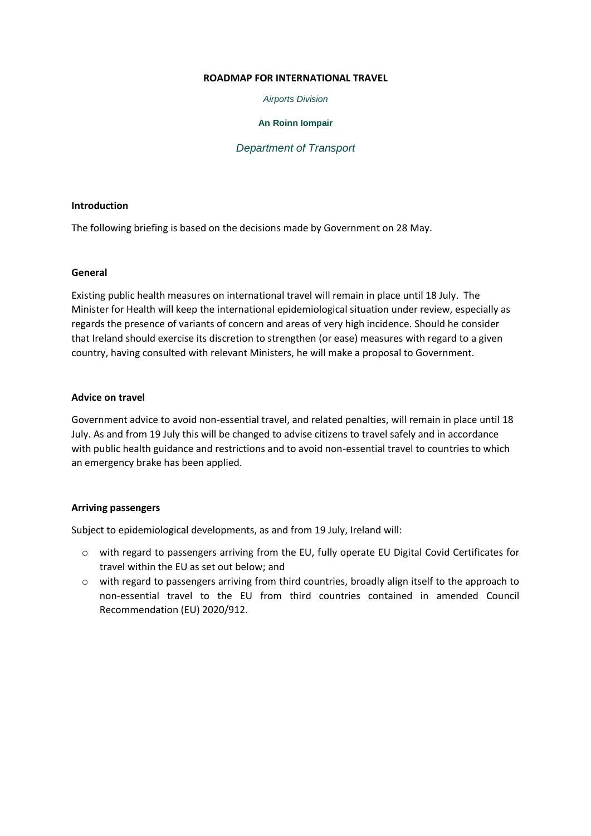#### **ROADMAP FOR INTERNATIONAL TRAVEL**

*Airports Division*

## **An Roinn Iompair**

# *Department of Transport*

## **Introduction**

The following briefing is based on the decisions made by Government on 28 May.

## **General**

Existing public health measures on international travel will remain in place until 18 July. The Minister for Health will keep the international epidemiological situation under review, especially as regards the presence of variants of concern and areas of very high incidence. Should he consider that Ireland should exercise its discretion to strengthen (or ease) measures with regard to a given country, having consulted with relevant Ministers, he will make a proposal to Government.

## **Advice on travel**

Government advice to avoid non-essential travel, and related penalties, will remain in place until 18 July. As and from 19 July this will be changed to advise citizens to travel safely and in accordance with public health guidance and restrictions and to avoid non-essential travel to countries to which an emergency brake has been applied.

## **Arriving passengers**

Subject to epidemiological developments, as and from 19 July, Ireland will:

- o with regard to passengers arriving from the EU, fully operate EU Digital Covid Certificates for travel within the EU as set out below; and
- o with regard to passengers arriving from third countries, broadly align itself to the approach to non-essential travel to the EU from third countries contained in amended Council Recommendation (EU) 2020/912.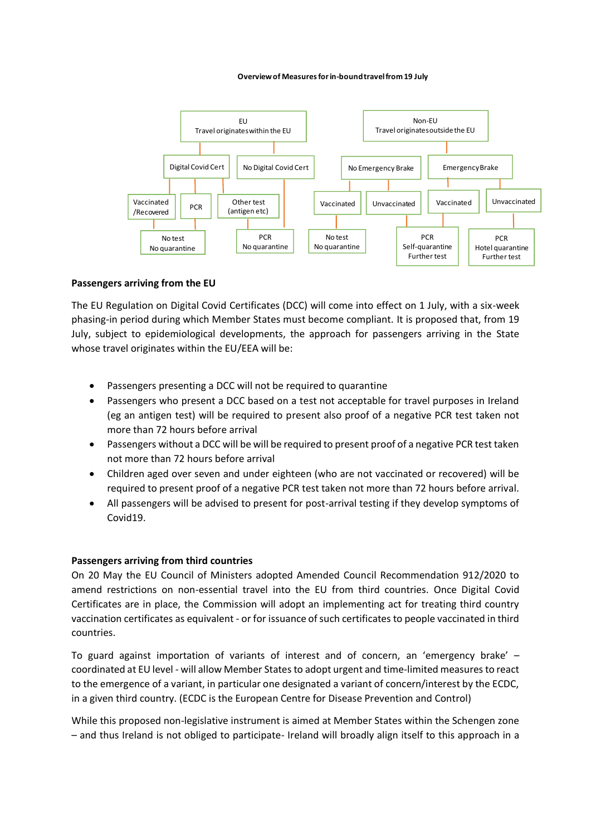#### **Overview of Measures for in-bound travel from 19 July**



## **Passengers arriving from the EU**

The EU Regulation on Digital Covid Certificates (DCC) will come into effect on 1 July, with a six-week phasing-in period during which Member States must become compliant. It is proposed that, from 19 July, subject to epidemiological developments, the approach for passengers arriving in the State whose travel originates within the EU/EEA will be:

- Passengers presenting a DCC will not be required to quarantine
- Passengers who present a DCC based on a test not acceptable for travel purposes in Ireland (eg an antigen test) will be required to present also proof of a negative PCR test taken not more than 72 hours before arrival
- Passengers without a DCC will be will be required to present proof of a negative PCR test taken not more than 72 hours before arrival
- Children aged over seven and under eighteen (who are not vaccinated or recovered) will be required to present proof of a negative PCR test taken not more than 72 hours before arrival.
- All passengers will be advised to present for post-arrival testing if they develop symptoms of Covid19.

## **Passengers arriving from third countries**

On 20 May the EU Council of Ministers adopted Amended Council Recommendation 912/2020 to amend restrictions on non-essential travel into the EU from third countries. Once Digital Covid Certificates are in place, the Commission will adopt an implementing act for treating third country vaccination certificates as equivalent - or for issuance of such certificates to people vaccinated in third countries.

To guard against importation of variants of interest and of concern, an 'emergency brake' – coordinated at EU level - will allow Member States to adopt urgent and time-limited measures to react to the emergence of a variant, in particular one designated a variant of concern/interest by the ECDC, in a given third country. (ECDC is the European Centre for Disease Prevention and Control)

While this proposed non-legislative instrument is aimed at Member States within the Schengen zone – and thus Ireland is not obliged to participate- Ireland will broadly align itself to this approach in a